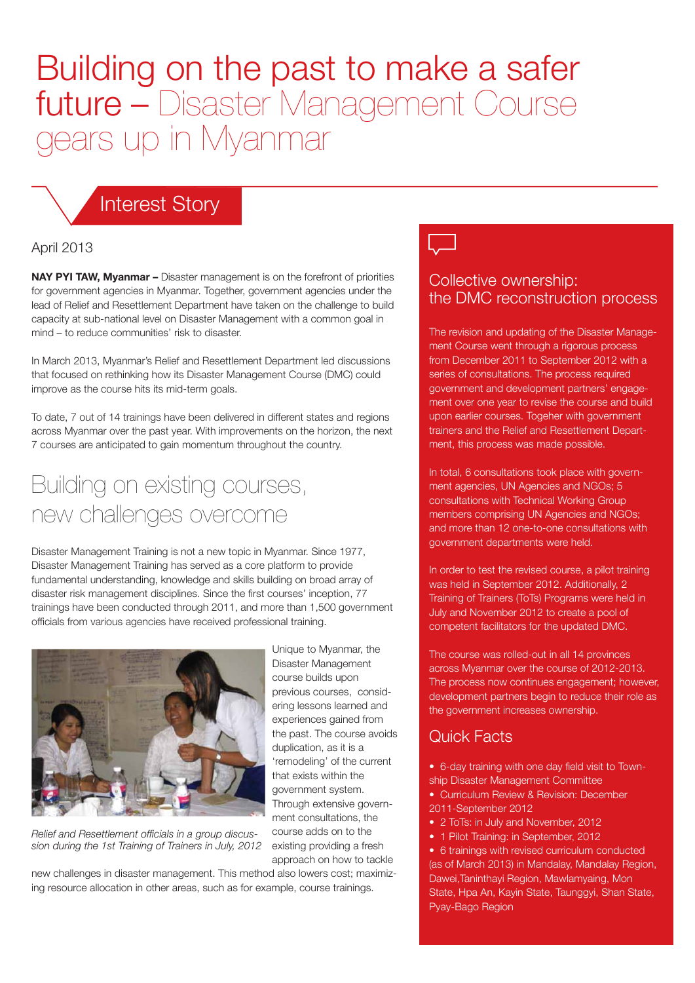# Building on the past to make a safer future – Disaster Management Course gears up in Myanmar

### Interest Story

#### April 2013

**NAY PYI TAW, Myanmar –** Disaster management is on the forefront of priorities for government agencies in Myanmar. Together, government agencies under the lead of Relief and Resettlement Department have taken on the challenge to build capacity at sub-national level on Disaster Management with a common goal in mind – to reduce communities' risk to disaster.

In March 2013, Myanmar's Relief and Resettlement Department led discussions that focused on rethinking how its Disaster Management Course (DMC) could improve as the course hits its mid-term goals.

To date, 7 out of 14 trainings have been delivered in different states and regions across Myanmar over the past year. With improvements on the horizon, the next 7 courses are anticipated to gain momentum throughout the country.

### Building on existing courses, new challenges overcome

Disaster Management Training is not a new topic in Myanmar. Since 1977, Disaster Management Training has served as a core platform to provide fundamental understanding, knowledge and skills building on broad array of disaster risk management disciplines. Since the first courses' inception, 77 trainings have been conducted through 2011, and more than 1,500 government officials from various agencies have received professional training.



*Relief and Resettlement officials in a group discussion during the 1st Training of Trainers in July, 2012*

Unique to Myanmar, the Disaster Management course builds upon previous courses, considering lessons learned and experiences gained from the past. The course avoids duplication, as it is a 'remodeling' of the current that exists within the government system. Through extensive government consultations, the course adds on to the existing providing a fresh approach on how to tackle

new challenges in disaster management. This method also lowers cost; maximizing resource allocation in other areas, such as for example, course trainings.

#### Collective ownership: the DMC reconstruction process

The revision and updating of the Disaster Management Course went through a rigorous process from December 2011 to September 2012 with a series of consultations. The process required government and development partners' engagement over one year to revise the course and build upon earlier courses. Togeher with government trainers and the Relief and Resettlement Department, this process was made possible.

In total, 6 consultations took place with government agencies, UN Agencies and NGOs; 5 consultations with Technical Working Group members comprising UN Agencies and NGOs; and more than 12 one-to-one consultations with government departments were held.

In order to test the revised course, a pilot training was held in September 2012. Additionally, 2 Training of Trainers (ToTs) Programs were held in July and November 2012 to create a pool of competent facilitators for the updated DMC.

The course was rolled-out in all 14 provinces across Myanmar over the course of 2012-2013. The process now continues engagement; however, development partners begin to reduce their role as the government increases ownership.

#### Quick Facts

• 6-day training with one day field visit to Town-

- ship Disaster Management Committee • Curriculum Review & Revision: December
- 2011-September 2012
- 2 ToTs: in July and November, 2012
- 1 Pilot Training: in September, 2012

• 6 trainings with revised curriculum conducted (as of March 2013) in Mandalay, Mandalay Region, Dawei,Taninthayi Region, Mawlamyaing, Mon State, Hpa An, Kayin State, Taunggyi, Shan State, Pyay-Bago Region